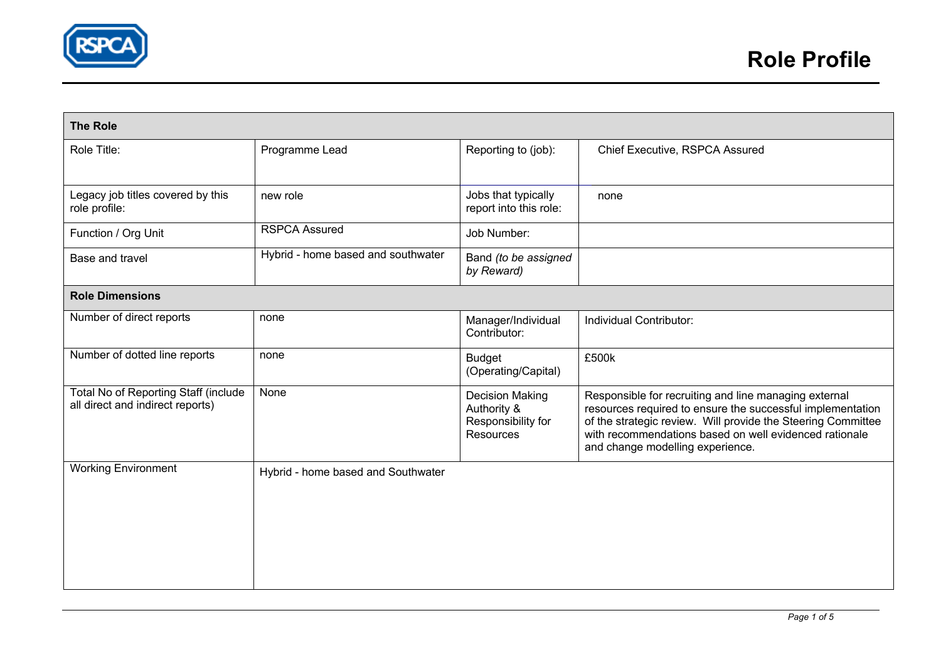

| <b>The Role</b>                                                          |                                    |                                                                                 |                                                                                                                                                                                                                                                                                   |  |  |  |
|--------------------------------------------------------------------------|------------------------------------|---------------------------------------------------------------------------------|-----------------------------------------------------------------------------------------------------------------------------------------------------------------------------------------------------------------------------------------------------------------------------------|--|--|--|
| Role Title:                                                              | Programme Lead                     | Reporting to (job):                                                             | Chief Executive, RSPCA Assured                                                                                                                                                                                                                                                    |  |  |  |
| Legacy job titles covered by this<br>role profile:                       | new role                           | Jobs that typically<br>report into this role:                                   | none                                                                                                                                                                                                                                                                              |  |  |  |
| Function / Org Unit                                                      | <b>RSPCA Assured</b>               | Job Number:                                                                     |                                                                                                                                                                                                                                                                                   |  |  |  |
| Base and travel                                                          | Hybrid - home based and southwater | Band (to be assigned<br>by Reward)                                              |                                                                                                                                                                                                                                                                                   |  |  |  |
| <b>Role Dimensions</b>                                                   |                                    |                                                                                 |                                                                                                                                                                                                                                                                                   |  |  |  |
| Number of direct reports                                                 | none                               | Manager/Individual<br>Contributor:                                              | Individual Contributor:                                                                                                                                                                                                                                                           |  |  |  |
| Number of dotted line reports                                            | none                               | <b>Budget</b><br>(Operating/Capital)                                            | £500k                                                                                                                                                                                                                                                                             |  |  |  |
| Total No of Reporting Staff (include<br>all direct and indirect reports) | None                               | <b>Decision Making</b><br>Authority &<br>Responsibility for<br><b>Resources</b> | Responsible for recruiting and line managing external<br>resources required to ensure the successful implementation<br>of the strategic review. Will provide the Steering Committee<br>with recommendations based on well evidenced rationale<br>and change modelling experience. |  |  |  |
| <b>Working Environment</b>                                               | Hybrid - home based and Southwater |                                                                                 |                                                                                                                                                                                                                                                                                   |  |  |  |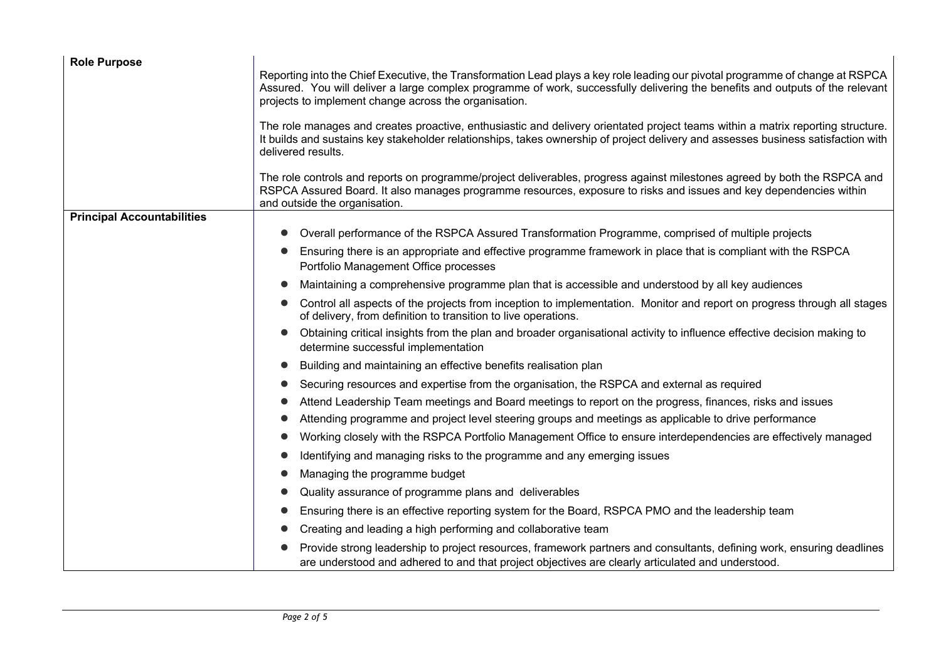| <b>Role Purpose</b>               |                                                                                                                                                                                                                                                                                                                         |  |  |
|-----------------------------------|-------------------------------------------------------------------------------------------------------------------------------------------------------------------------------------------------------------------------------------------------------------------------------------------------------------------------|--|--|
|                                   | Reporting into the Chief Executive, the Transformation Lead plays a key role leading our pivotal programme of change at RSPCA<br>Assured. You will deliver a large complex programme of work, successfully delivering the benefits and outputs of the relevant<br>projects to implement change across the organisation. |  |  |
|                                   | The role manages and creates proactive, enthusiastic and delivery orientated project teams within a matrix reporting structure.<br>It builds and sustains key stakeholder relationships, takes ownership of project delivery and assesses business satisfaction with<br>delivered results.                              |  |  |
|                                   | The role controls and reports on programme/project deliverables, progress against milestones agreed by both the RSPCA and<br>RSPCA Assured Board. It also manages programme resources, exposure to risks and issues and key dependencies within<br>and outside the organisation.                                        |  |  |
| <b>Principal Accountabilities</b> |                                                                                                                                                                                                                                                                                                                         |  |  |
|                                   | Overall performance of the RSPCA Assured Transformation Programme, comprised of multiple projects                                                                                                                                                                                                                       |  |  |
|                                   | Ensuring there is an appropriate and effective programme framework in place that is compliant with the RSPCA<br>Portfolio Management Office processes                                                                                                                                                                   |  |  |
|                                   | Maintaining a comprehensive programme plan that is accessible and understood by all key audiences                                                                                                                                                                                                                       |  |  |
|                                   | Control all aspects of the projects from inception to implementation. Monitor and report on progress through all stages<br>of delivery, from definition to transition to live operations.                                                                                                                               |  |  |
|                                   | Obtaining critical insights from the plan and broader organisational activity to influence effective decision making to<br>determine successful implementation                                                                                                                                                          |  |  |
|                                   | Building and maintaining an effective benefits realisation plan                                                                                                                                                                                                                                                         |  |  |
|                                   | Securing resources and expertise from the organisation, the RSPCA and external as required                                                                                                                                                                                                                              |  |  |
|                                   | Attend Leadership Team meetings and Board meetings to report on the progress, finances, risks and issues                                                                                                                                                                                                                |  |  |
|                                   | Attending programme and project level steering groups and meetings as applicable to drive performance                                                                                                                                                                                                                   |  |  |
|                                   | Working closely with the RSPCA Portfolio Management Office to ensure interdependencies are effectively managed                                                                                                                                                                                                          |  |  |
|                                   | Identifying and managing risks to the programme and any emerging issues                                                                                                                                                                                                                                                 |  |  |
|                                   | Managing the programme budget                                                                                                                                                                                                                                                                                           |  |  |
|                                   | Quality assurance of programme plans and deliverables                                                                                                                                                                                                                                                                   |  |  |
|                                   | Ensuring there is an effective reporting system for the Board, RSPCA PMO and the leadership team                                                                                                                                                                                                                        |  |  |
|                                   | Creating and leading a high performing and collaborative team                                                                                                                                                                                                                                                           |  |  |
|                                   | Provide strong leadership to project resources, framework partners and consultants, defining work, ensuring deadlines<br>are understood and adhered to and that project objectives are clearly articulated and understood.                                                                                              |  |  |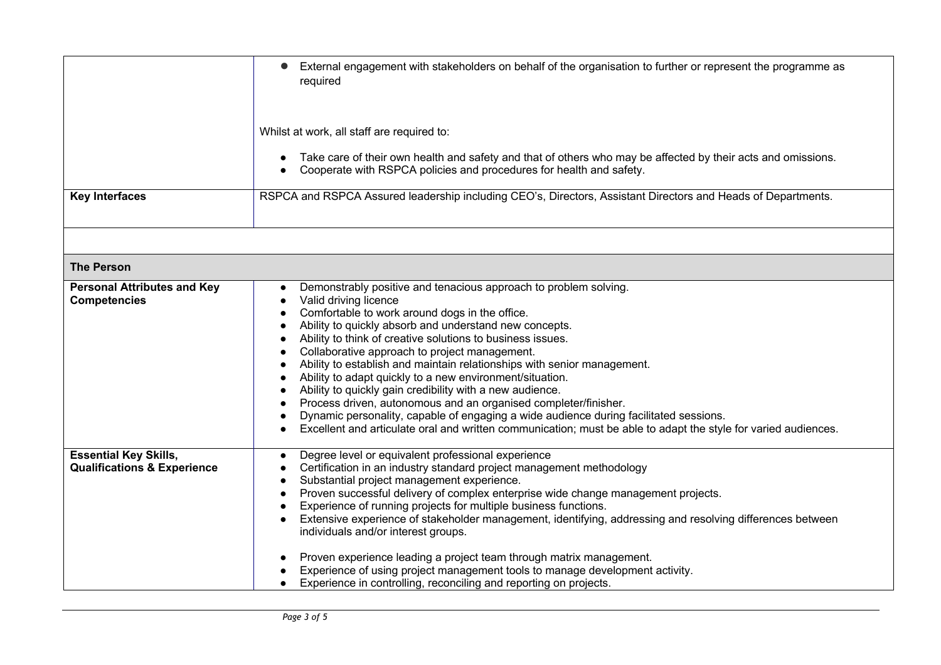|                                                                        | External engagement with stakeholders on behalf of the organisation to further or represent the programme as<br>required<br>Whilst at work, all staff are required to:<br>Take care of their own health and safety and that of others who may be affected by their acts and omissions.<br>Cooperate with RSPCA policies and procedures for health and safety.                                                                                                                                                                                                                                                                                                                                                                                                                                                      |  |  |
|------------------------------------------------------------------------|--------------------------------------------------------------------------------------------------------------------------------------------------------------------------------------------------------------------------------------------------------------------------------------------------------------------------------------------------------------------------------------------------------------------------------------------------------------------------------------------------------------------------------------------------------------------------------------------------------------------------------------------------------------------------------------------------------------------------------------------------------------------------------------------------------------------|--|--|
|                                                                        |                                                                                                                                                                                                                                                                                                                                                                                                                                                                                                                                                                                                                                                                                                                                                                                                                    |  |  |
| <b>Key Interfaces</b>                                                  | RSPCA and RSPCA Assured leadership including CEO's, Directors, Assistant Directors and Heads of Departments.                                                                                                                                                                                                                                                                                                                                                                                                                                                                                                                                                                                                                                                                                                       |  |  |
|                                                                        |                                                                                                                                                                                                                                                                                                                                                                                                                                                                                                                                                                                                                                                                                                                                                                                                                    |  |  |
| <b>The Person</b>                                                      |                                                                                                                                                                                                                                                                                                                                                                                                                                                                                                                                                                                                                                                                                                                                                                                                                    |  |  |
| <b>Personal Attributes and Key</b><br><b>Competencies</b>              | Demonstrably positive and tenacious approach to problem solving.<br>Valid driving licence<br>Comfortable to work around dogs in the office.<br>Ability to quickly absorb and understand new concepts.<br>$\bullet$<br>Ability to think of creative solutions to business issues.<br>Collaborative approach to project management.<br>Ability to establish and maintain relationships with senior management.<br>Ability to adapt quickly to a new environment/situation.<br>Ability to quickly gain credibility with a new audience.<br>Process driven, autonomous and an organised completer/finisher.<br>Dynamic personality, capable of engaging a wide audience during facilitated sessions.<br>Excellent and articulate oral and written communication; must be able to adapt the style for varied audiences. |  |  |
| <b>Essential Key Skills,</b><br><b>Qualifications &amp; Experience</b> | Degree level or equivalent professional experience<br>$\bullet$<br>Certification in an industry standard project management methodology<br>Substantial project management experience.<br>Proven successful delivery of complex enterprise wide change management projects.<br>Experience of running projects for multiple business functions.<br>Extensive experience of stakeholder management, identifying, addressing and resolving differences between<br>individuals and/or interest groups.<br>Proven experience leading a project team through matrix management.<br>$\bullet$<br>Experience of using project management tools to manage development activity.<br>Experience in controlling, reconciling and reporting on projects.                                                                         |  |  |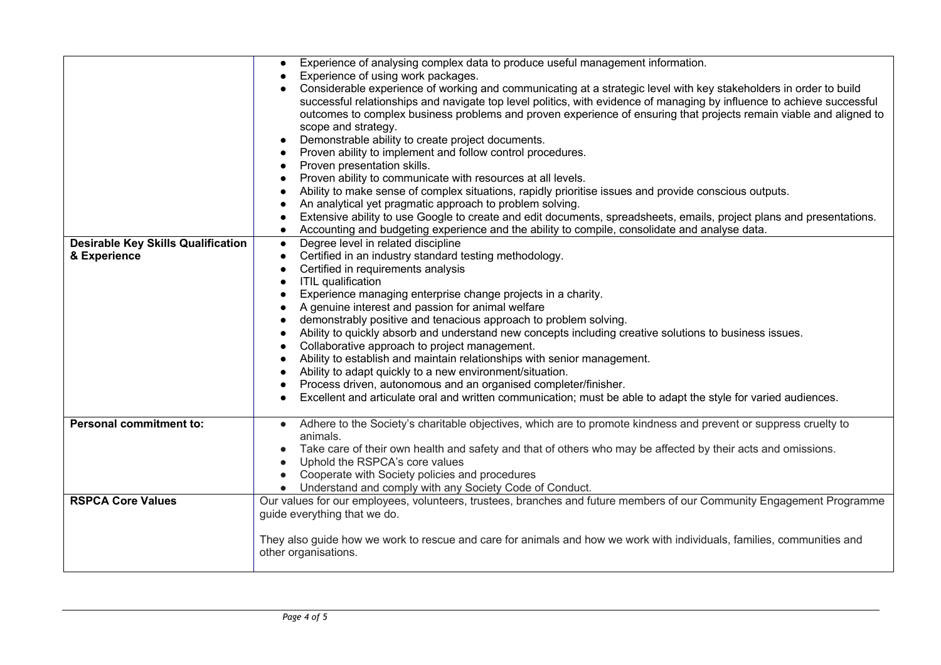|                                           | Experience of analysing complex data to produce useful management information.<br>$\bullet$                                  |  |  |
|-------------------------------------------|------------------------------------------------------------------------------------------------------------------------------|--|--|
|                                           | Experience of using work packages.                                                                                           |  |  |
|                                           | Considerable experience of working and communicating at a strategic level with key stakeholders in order to build            |  |  |
|                                           | successful relationships and navigate top level politics, with evidence of managing by influence to achieve successful       |  |  |
|                                           | outcomes to complex business problems and proven experience of ensuring that projects remain viable and aligned to           |  |  |
|                                           | scope and strategy.                                                                                                          |  |  |
|                                           | Demonstrable ability to create project documents.                                                                            |  |  |
|                                           | Proven ability to implement and follow control procedures.                                                                   |  |  |
|                                           | Proven presentation skills.                                                                                                  |  |  |
|                                           | Proven ability to communicate with resources at all levels.                                                                  |  |  |
|                                           | Ability to make sense of complex situations, rapidly prioritise issues and provide conscious outputs.                        |  |  |
|                                           | An analytical yet pragmatic approach to problem solving.                                                                     |  |  |
|                                           | Extensive ability to use Google to create and edit documents, spreadsheets, emails, project plans and presentations.         |  |  |
|                                           | Accounting and budgeting experience and the ability to compile, consolidate and analyse data.                                |  |  |
| <b>Desirable Key Skills Qualification</b> | Degree level in related discipline<br>$\bullet$                                                                              |  |  |
| & Experience                              | Certified in an industry standard testing methodology.                                                                       |  |  |
|                                           | Certified in requirements analysis                                                                                           |  |  |
|                                           | <b>ITIL</b> qualification                                                                                                    |  |  |
|                                           | Experience managing enterprise change projects in a charity.                                                                 |  |  |
|                                           | A genuine interest and passion for animal welfare                                                                            |  |  |
|                                           | demonstrably positive and tenacious approach to problem solving.                                                             |  |  |
|                                           | Ability to quickly absorb and understand new concepts including creative solutions to business issues.                       |  |  |
|                                           | Collaborative approach to project management.                                                                                |  |  |
|                                           | Ability to establish and maintain relationships with senior management.                                                      |  |  |
|                                           | Ability to adapt quickly to a new environment/situation.                                                                     |  |  |
|                                           | Process driven, autonomous and an organised completer/finisher.                                                              |  |  |
|                                           | Excellent and articulate oral and written communication; must be able to adapt the style for varied audiences.               |  |  |
|                                           |                                                                                                                              |  |  |
| <b>Personal commitment to:</b>            | Adhere to the Society's charitable objectives, which are to promote kindness and prevent or suppress cruelty to<br>$\bullet$ |  |  |
|                                           | animals.                                                                                                                     |  |  |
|                                           | Take care of their own health and safety and that of others who may be affected by their acts and omissions.                 |  |  |
|                                           | Uphold the RSPCA's core values                                                                                               |  |  |
|                                           | Cooperate with Society policies and procedures                                                                               |  |  |
|                                           | Understand and comply with any Society Code of Conduct.                                                                      |  |  |
| <b>RSPCA Core Values</b>                  | Our values for our employees, volunteers, trustees, branches and future members of our Community Engagement Programme        |  |  |
|                                           | guide everything that we do.                                                                                                 |  |  |
|                                           |                                                                                                                              |  |  |
|                                           | They also guide how we work to rescue and care for animals and how we work with individuals, families, communities and       |  |  |
|                                           | other organisations.                                                                                                         |  |  |
|                                           |                                                                                                                              |  |  |